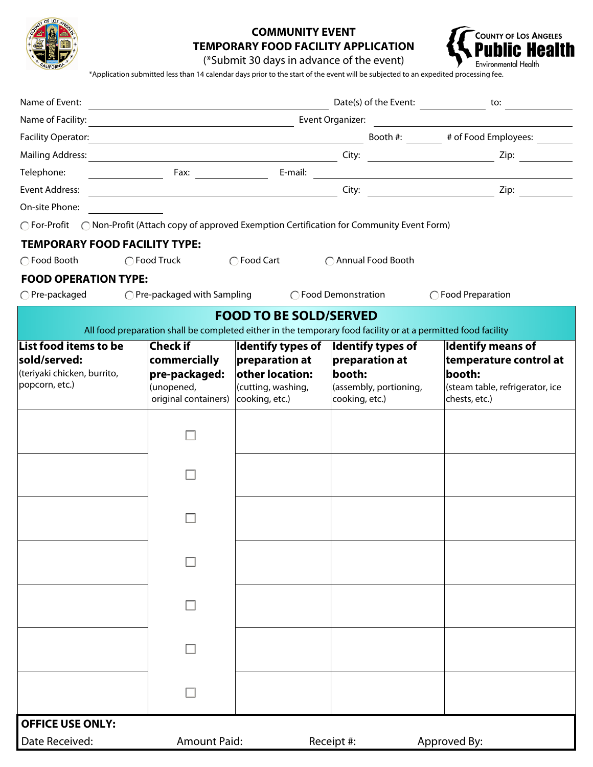

## **COMMUNITY EVENT TEMPORARY FOOD FACILITY APPLICATION**



(\*Submit 30 days in advance of the event)

\*Application submitted less than 14 calendar days prior to the start of the event will be subjected to an expedited processing fee.

| Name of Event:                                                                                       | <u> 1989 - Johann Barn, mars ann an t-Amhain Aonaich an t-Aonaich an t-Aonaich an t-Aonaich an t-Aonaich an t-Aon</u> |                                                                     |                                                                                                               |                                             |
|------------------------------------------------------------------------------------------------------|-----------------------------------------------------------------------------------------------------------------------|---------------------------------------------------------------------|---------------------------------------------------------------------------------------------------------------|---------------------------------------------|
|                                                                                                      |                                                                                                                       |                                                                     |                                                                                                               |                                             |
|                                                                                                      |                                                                                                                       |                                                                     |                                                                                                               | Booth #: ________ # of Food Employees: ____ |
|                                                                                                      |                                                                                                                       |                                                                     |                                                                                                               |                                             |
| Telephone:                                                                                           |                                                                                                                       |                                                                     |                                                                                                               |                                             |
| Event Address:                                                                                       |                                                                                                                       | <u> 1989 - Johann Stoff, fransk politik (d. 1989)</u>               |                                                                                                               |                                             |
| On-site Phone:                                                                                       |                                                                                                                       |                                                                     |                                                                                                               |                                             |
| ◯ For-Profit ◯ Non-Profit (Attach copy of approved Exemption Certification for Community Event Form) |                                                                                                                       |                                                                     |                                                                                                               |                                             |
| <b>TEMPORARY FOOD FACILITY TYPE:</b>                                                                 |                                                                                                                       |                                                                     |                                                                                                               |                                             |
| ◯ Food Booth                                                                                         | ◯ Food Truck                                                                                                          | ◯ Food Cart                                                         | ◯ Annual Food Booth                                                                                           |                                             |
| <b>FOOD OPERATION TYPE:</b>                                                                          |                                                                                                                       |                                                                     |                                                                                                               |                                             |
| $\bigcap$ Pre-packaged                                                                               |                                                                                                                       | $\bigcirc$ Pre-packaged with Sampling $\bigcirc$ Food Demonstration |                                                                                                               | ◯ Food Preparation                          |
|                                                                                                      |                                                                                                                       | <b>FOOD TO BE SOLD/SERVED</b>                                       |                                                                                                               |                                             |
|                                                                                                      |                                                                                                                       |                                                                     | All food preparation shall be completed either in the temporary food facility or at a permitted food facility |                                             |
| List food items to be                                                                                | <b>Check if</b>                                                                                                       | Identify types of  Identify types of                                |                                                                                                               | <b>Identify means of</b>                    |
| sold/served:<br>(teriyaki chicken, burrito,                                                          | commercially                                                                                                          | preparation at<br>other location:                                   | preparation at<br>booth:                                                                                      | temperature control at<br>booth:            |
| popcorn, etc.)                                                                                       | pre-packaged:<br>(unopened,                                                                                           | (cutting, washing,                                                  | (assembly, portioning,                                                                                        | (steam table, refrigerator, ice             |
|                                                                                                      | original containers)                                                                                                  | cooking, etc.)                                                      | cooking, etc.)                                                                                                | chests, etc.)                               |
|                                                                                                      |                                                                                                                       |                                                                     |                                                                                                               |                                             |
|                                                                                                      |                                                                                                                       |                                                                     |                                                                                                               |                                             |
|                                                                                                      |                                                                                                                       |                                                                     |                                                                                                               |                                             |
|                                                                                                      |                                                                                                                       |                                                                     |                                                                                                               |                                             |
|                                                                                                      |                                                                                                                       |                                                                     |                                                                                                               |                                             |
|                                                                                                      |                                                                                                                       |                                                                     |                                                                                                               |                                             |
|                                                                                                      |                                                                                                                       |                                                                     |                                                                                                               |                                             |
|                                                                                                      |                                                                                                                       |                                                                     |                                                                                                               |                                             |
|                                                                                                      |                                                                                                                       |                                                                     |                                                                                                               |                                             |
|                                                                                                      |                                                                                                                       |                                                                     |                                                                                                               |                                             |
|                                                                                                      |                                                                                                                       |                                                                     |                                                                                                               |                                             |
|                                                                                                      |                                                                                                                       |                                                                     |                                                                                                               |                                             |
|                                                                                                      |                                                                                                                       |                                                                     |                                                                                                               |                                             |
|                                                                                                      |                                                                                                                       |                                                                     |                                                                                                               |                                             |
|                                                                                                      |                                                                                                                       |                                                                     |                                                                                                               |                                             |
|                                                                                                      |                                                                                                                       |                                                                     |                                                                                                               |                                             |
|                                                                                                      |                                                                                                                       |                                                                     |                                                                                                               |                                             |
| <b>OFFICE USE ONLY:</b>                                                                              |                                                                                                                       |                                                                     |                                                                                                               |                                             |
| Date Received:                                                                                       | <b>Amount Paid:</b>                                                                                                   |                                                                     | Receipt #:                                                                                                    | Approved By:                                |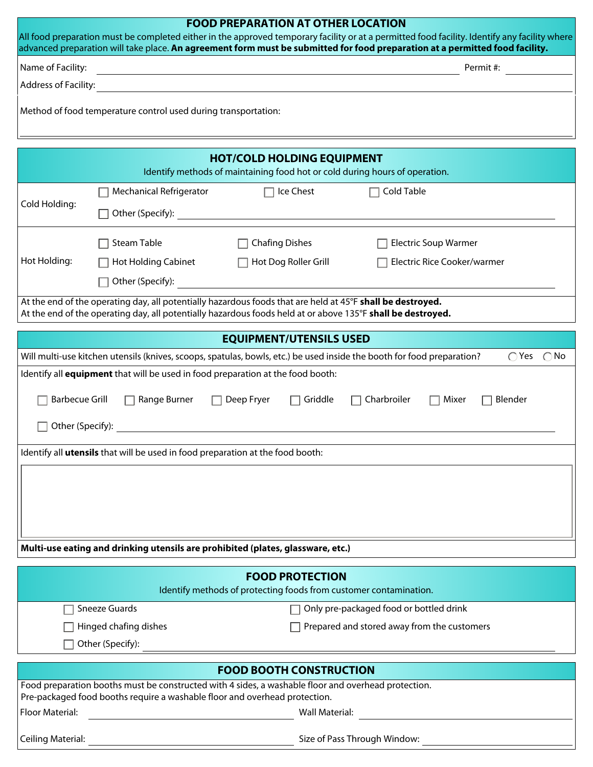## **FOOD PREPARATION AT OTHER LOCATION**  All food preparation must be completed either in the approved temporary facility or at a permitted food facility. Identify any facility where advanced preparation will take place. **An agreement form must be submitted for food preparation at a permitted food facility.** Name of Facility: Permit #: Address of Facility: **Address of Facility:**

| Method of food temperature control used during transportation: |  |  |
|----------------------------------------------------------------|--|--|
|----------------------------------------------------------------|--|--|

| <b>HOT/COLD HOLDING EQUIPMENT</b>                                               |                                                                                |                                                                                                                                                                                                                           |                                                                                                                                                        |  |
|---------------------------------------------------------------------------------|--------------------------------------------------------------------------------|---------------------------------------------------------------------------------------------------------------------------------------------------------------------------------------------------------------------------|--------------------------------------------------------------------------------------------------------------------------------------------------------|--|
|                                                                                 |                                                                                | Identify methods of maintaining food hot or cold during hours of operation.                                                                                                                                               |                                                                                                                                                        |  |
| Cold Holding:                                                                   | <b>Mechanical Refrigerator</b>                                                 | Ice Chest                                                                                                                                                                                                                 | Cold Table                                                                                                                                             |  |
|                                                                                 | Other (Specify):                                                               |                                                                                                                                                                                                                           |                                                                                                                                                        |  |
|                                                                                 | Steam Table                                                                    | <b>Chafing Dishes</b>                                                                                                                                                                                                     | <b>Electric Soup Warmer</b>                                                                                                                            |  |
| Hot Holding:                                                                    | <b>Hot Holding Cabinet</b>                                                     | Hot Dog Roller Grill<br>$\Box$                                                                                                                                                                                            | Electric Rice Cooker/warmer                                                                                                                            |  |
|                                                                                 | Other (Specify):                                                               |                                                                                                                                                                                                                           |                                                                                                                                                        |  |
|                                                                                 |                                                                                | At the end of the operating day, all potentially hazardous foods that are held at 45°F shall be destroyed.<br>At the end of the operating day, all potentially hazardous foods held at or above 135°F shall be destroyed. |                                                                                                                                                        |  |
|                                                                                 |                                                                                | <b>EQUIPMENT/UTENSILS USED</b>                                                                                                                                                                                            |                                                                                                                                                        |  |
|                                                                                 |                                                                                |                                                                                                                                                                                                                           | Will multi-use kitchen utensils (knives, scoops, spatulas, bowls, etc.) be used inside the booth for food preparation?<br>$\bigcirc$ Yes $\bigcirc$ No |  |
|                                                                                 |                                                                                | Identify all equipment that will be used in food preparation at the food booth:                                                                                                                                           |                                                                                                                                                        |  |
|                                                                                 |                                                                                |                                                                                                                                                                                                                           |                                                                                                                                                        |  |
| <b>Barbecue Grill</b>                                                           | Range Burner                                                                   | Deep Fryer<br>Griddle<br>$\mathsf{L}$                                                                                                                                                                                     | Charbroiler<br>Mixer<br>Blender                                                                                                                        |  |
| Other (Specify):                                                                |                                                                                |                                                                                                                                                                                                                           |                                                                                                                                                        |  |
|                                                                                 | Identify all utensils that will be used in food preparation at the food booth: |                                                                                                                                                                                                                           |                                                                                                                                                        |  |
|                                                                                 |                                                                                |                                                                                                                                                                                                                           |                                                                                                                                                        |  |
|                                                                                 |                                                                                |                                                                                                                                                                                                                           |                                                                                                                                                        |  |
|                                                                                 |                                                                                |                                                                                                                                                                                                                           |                                                                                                                                                        |  |
|                                                                                 |                                                                                |                                                                                                                                                                                                                           |                                                                                                                                                        |  |
|                                                                                 |                                                                                |                                                                                                                                                                                                                           |                                                                                                                                                        |  |
| Multi-use eating and drinking utensils are prohibited (plates, glassware, etc.) |                                                                                |                                                                                                                                                                                                                           |                                                                                                                                                        |  |
| <b>FOOD PROTECTION</b>                                                          |                                                                                |                                                                                                                                                                                                                           |                                                                                                                                                        |  |
| Identify methods of protecting foods from customer contamination.               |                                                                                |                                                                                                                                                                                                                           |                                                                                                                                                        |  |
|                                                                                 | <b>Sneeze Guards</b>                                                           |                                                                                                                                                                                                                           | Only pre-packaged food or bottled drink                                                                                                                |  |
| Hinged chafing dishes                                                           |                                                                                |                                                                                                                                                                                                                           | Prepared and stored away from the customers                                                                                                            |  |
|                                                                                 | Other (Specify):                                                               |                                                                                                                                                                                                                           |                                                                                                                                                        |  |
|                                                                                 |                                                                                |                                                                                                                                                                                                                           |                                                                                                                                                        |  |

| <b>FOOD BOOTH CONSTRUCTION</b>                                                                                                                                                    |                              |  |  |  |
|-----------------------------------------------------------------------------------------------------------------------------------------------------------------------------------|------------------------------|--|--|--|
| Food preparation booths must be constructed with 4 sides, a washable floor and overhead protection.<br>Pre-packaged food booths require a washable floor and overhead protection. |                              |  |  |  |
| Floor Material:                                                                                                                                                                   | Wall Material:               |  |  |  |
| Ceiling Material:                                                                                                                                                                 | Size of Pass Through Window: |  |  |  |